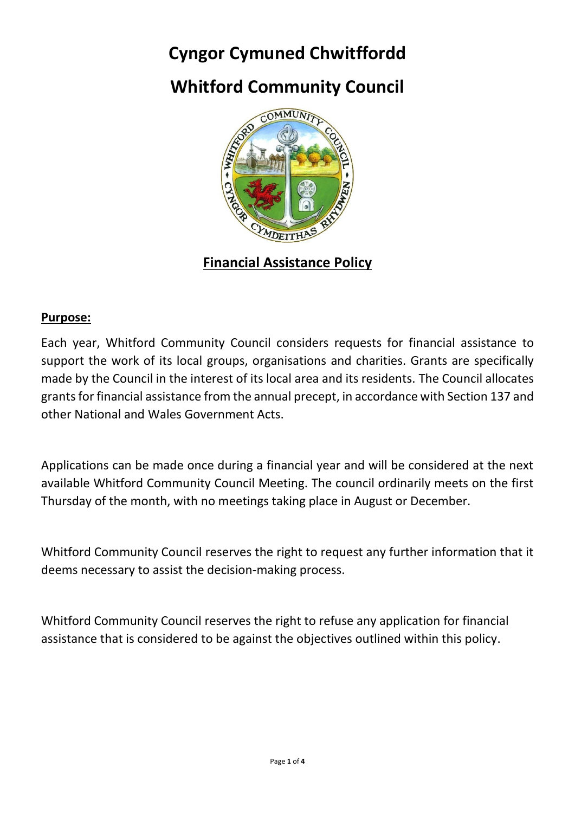# **Cyngor Cymuned Chwitffordd**

# **Whitford Community Council**



**Financial Assistance Policy**

#### **Purpose:**

Each year, Whitford Community Council considers requests for financial assistance to support the work of its local groups, organisations and charities. Grants are specifically made by the Council in the interest of its local area and its residents. The Council allocates grants for financial assistance from the annual precept, in accordance with Section 137 and other National and Wales Government Acts.

Applications can be made once during a financial year and will be considered at the next available Whitford Community Council Meeting. The council ordinarily meets on the first Thursday of the month, with no meetings taking place in August or December.

Whitford Community Council reserves the right to request any further information that it deems necessary to assist the decision-making process.

Whitford Community Council reserves the right to refuse any application for financial assistance that is considered to be against the objectives outlined within this policy.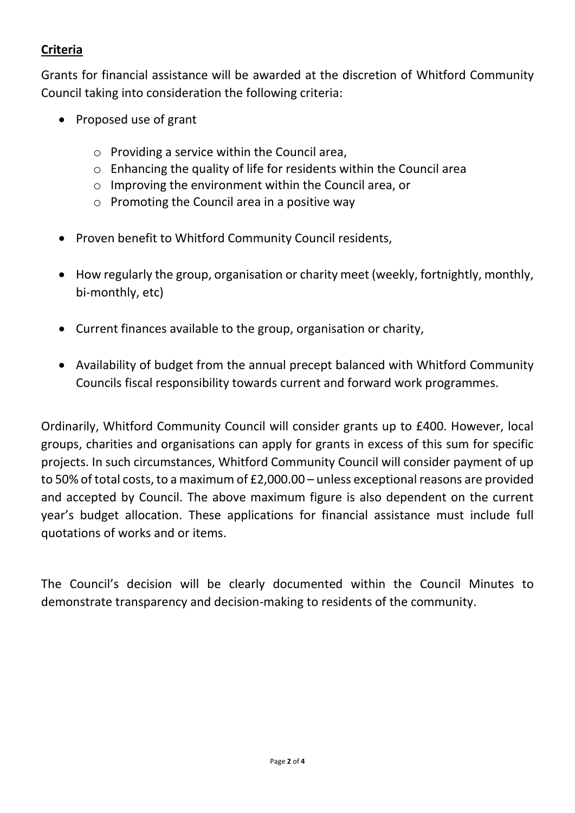# **Criteria**

Grants for financial assistance will be awarded at the discretion of Whitford Community Council taking into consideration the following criteria:

- Proposed use of grant
	- o Providing a service within the Council area,
	- o Enhancing the quality of life for residents within the Council area
	- o Improving the environment within the Council area, or
	- o Promoting the Council area in a positive way
- Proven benefit to Whitford Community Council residents,
- How regularly the group, organisation or charity meet (weekly, fortnightly, monthly, bi-monthly, etc)
- Current finances available to the group, organisation or charity,
- Availability of budget from the annual precept balanced with Whitford Community Councils fiscal responsibility towards current and forward work programmes.

Ordinarily, Whitford Community Council will consider grants up to £400. However, local groups, charities and organisations can apply for grants in excess of this sum for specific projects. In such circumstances, Whitford Community Council will consider payment of up to 50% of total costs, to a maximum of £2,000.00 – unless exceptional reasons are provided and accepted by Council. The above maximum figure is also dependent on the current year's budget allocation. These applications for financial assistance must include full quotations of works and or items.

The Council's decision will be clearly documented within the Council Minutes to demonstrate transparency and decision-making to residents of the community.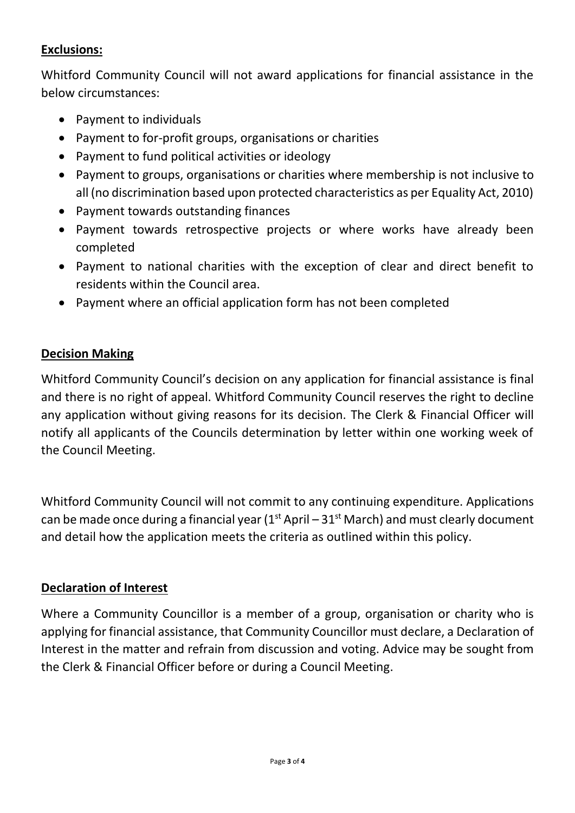## **Exclusions:**

Whitford Community Council will not award applications for financial assistance in the below circumstances:

- Payment to individuals
- Payment to for-profit groups, organisations or charities
- Payment to fund political activities or ideology
- Payment to groups, organisations or charities where membership is not inclusive to all (no discrimination based upon protected characteristics as per Equality Act, 2010)
- Payment towards outstanding finances
- Payment towards retrospective projects or where works have already been completed
- Payment to national charities with the exception of clear and direct benefit to residents within the Council area.
- Payment where an official application form has not been completed

#### **Decision Making**

Whitford Community Council's decision on any application for financial assistance is final and there is no right of appeal. Whitford Community Council reserves the right to decline any application without giving reasons for its decision. The Clerk & Financial Officer will notify all applicants of the Councils determination by letter within one working week of the Council Meeting.

Whitford Community Council will not commit to any continuing expenditure. Applications can be made once during a financial year  $(1<sup>st</sup>$  April –  $31<sup>st</sup>$  March) and must clearly document and detail how the application meets the criteria as outlined within this policy.

#### **Declaration of Interest**

Where a Community Councillor is a member of a group, organisation or charity who is applying for financial assistance, that Community Councillor must declare, a Declaration of Interest in the matter and refrain from discussion and voting. Advice may be sought from the Clerk & Financial Officer before or during a Council Meeting.